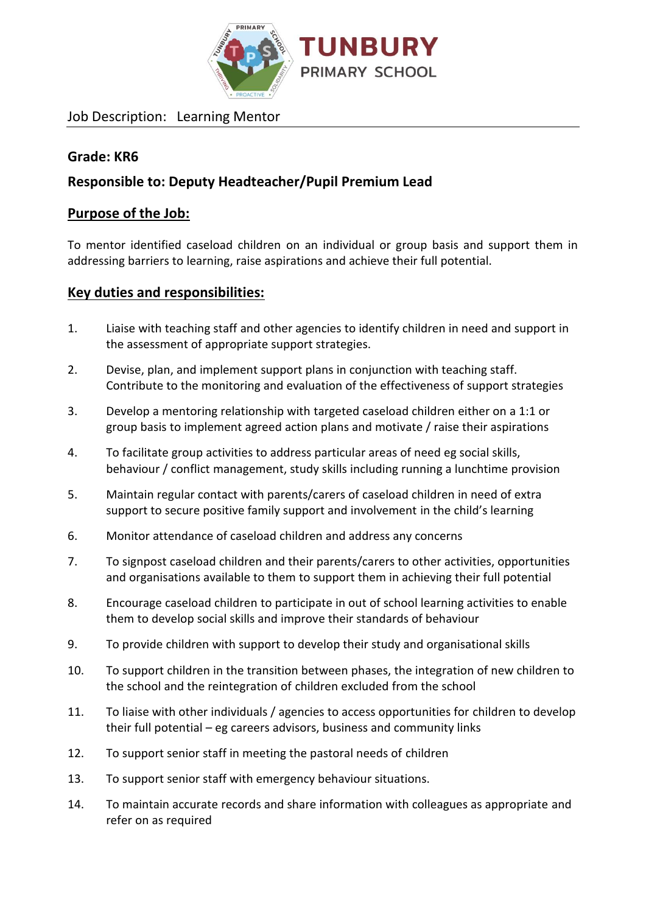

Job Description: Learning Mentor

## **Grade: KR6**

## **Responsible to: Deputy Headteacher/Pupil Premium Lead**

### **Purpose of the Job:**

To mentor identified caseload children on an individual or group basis and support them in addressing barriers to learning, raise aspirations and achieve their full potential.

#### **Key duties and responsibilities:**

- 1. Liaise with teaching staff and other agencies to identify children in need and support in the assessment of appropriate support strategies.
- 2. Devise, plan, and implement support plans in conjunction with teaching staff. Contribute to the monitoring and evaluation of the effectiveness of support strategies
- 3. Develop a mentoring relationship with targeted caseload children either on a 1:1 or group basis to implement agreed action plans and motivate / raise their aspirations
- 4. To facilitate group activities to address particular areas of need eg social skills, behaviour / conflict management, study skills including running a lunchtime provision
- 5. Maintain regular contact with parents/carers of caseload children in need of extra support to secure positive family support and involvement in the child's learning
- 6. Monitor attendance of caseload children and address any concerns
- 7. To signpost caseload children and their parents/carers to other activities, opportunities and organisations available to them to support them in achieving their full potential
- 8. Encourage caseload children to participate in out of school learning activities to enable them to develop social skills and improve their standards of behaviour
- 9. To provide children with support to develop their study and organisational skills
- 10. To support children in the transition between phases, the integration of new children to the school and the reintegration of children excluded from the school
- 11. To liaise with other individuals / agencies to access opportunities for children to develop their full potential – eg careers advisors, business and community links
- 12. To support senior staff in meeting the pastoral needs of children
- 13. To support senior staff with emergency behaviour situations.
- 14. To maintain accurate records and share information with colleagues as appropriate and refer on as required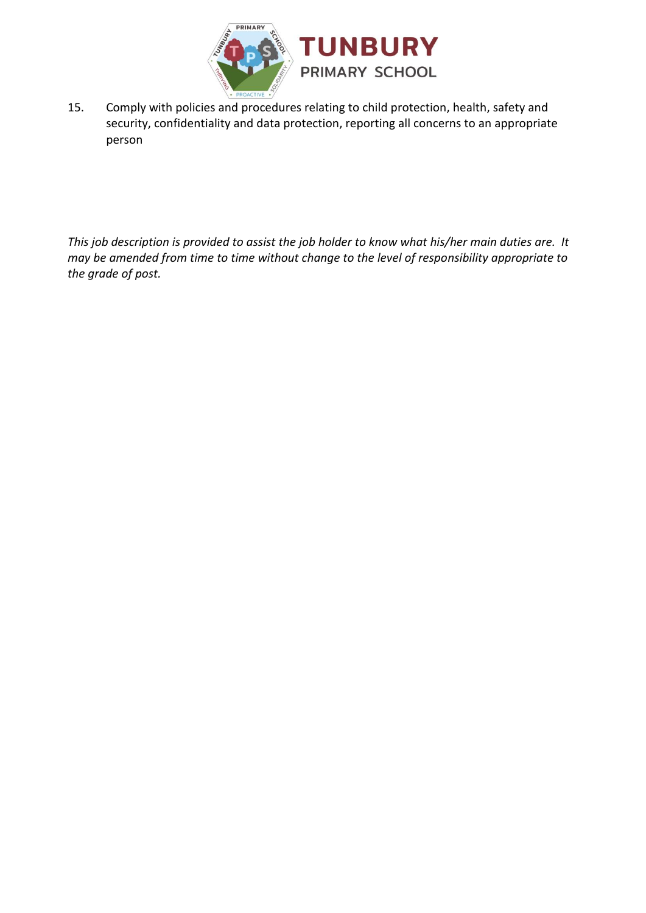

15. Comply with policies and procedures relating to child protection, health, safety and security, confidentiality and data protection, reporting all concerns to an appropriate person

*This job description is provided to assist the job holder to know what his/her main duties are. It may be amended from time to time without change to the level of responsibility appropriate to the grade of post.*